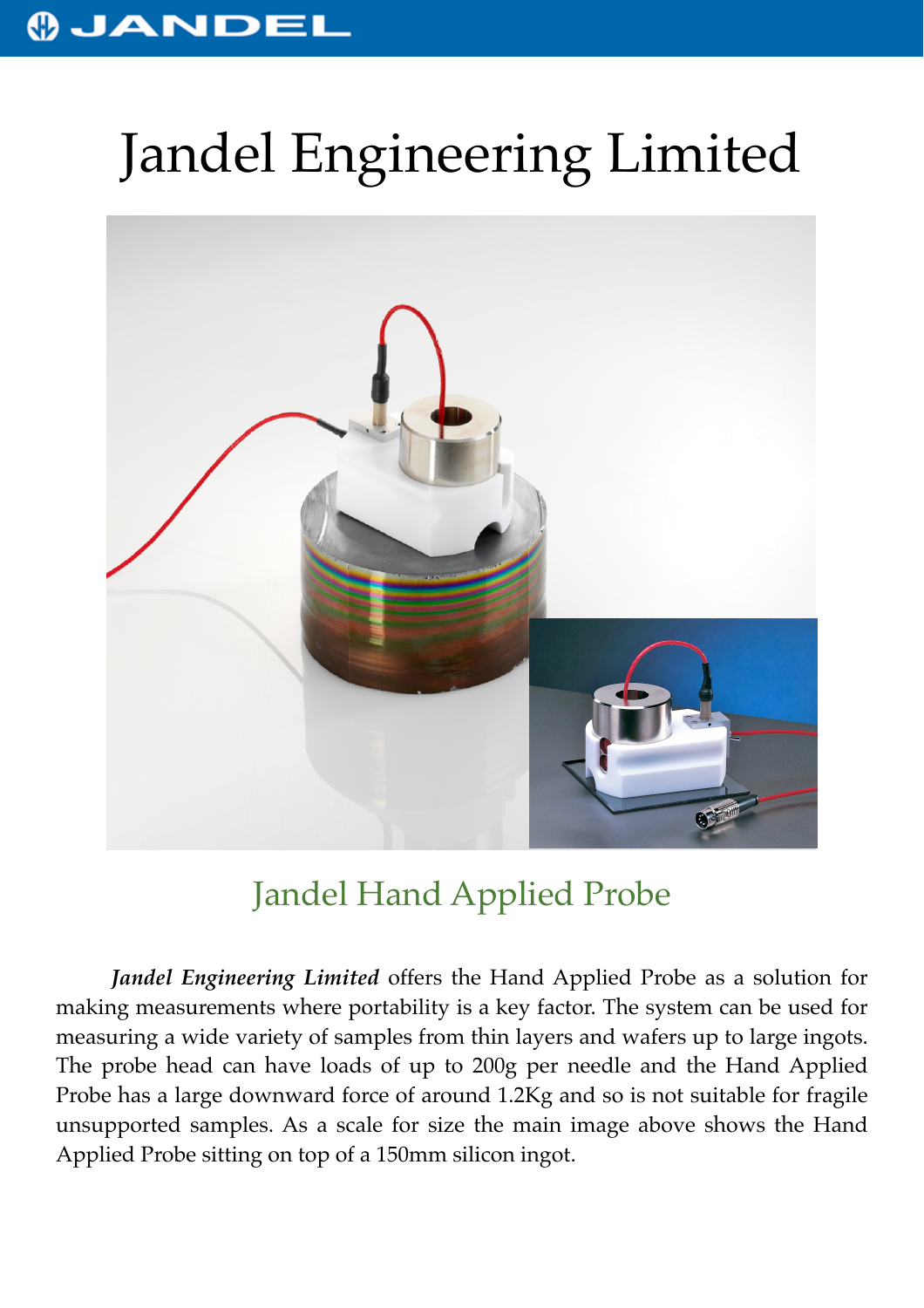## **OJANDEL**

## Jandel Engineering Limited



## Jandel Hand Applied Probe

*Jandel Engineering Limited* offers the Hand Applied Probe as a solution for making measurements where portability is a key factor. The system can be used for measuring a wide variety of samples from thin layers and wafers up to large ingots. The probe head can have loads of up to 200g per needle and the Hand Applied Probe has a large downward force of around 1.2Kg and so is not suitable for fragile unsupported samples. As a scale for size the main image above shows the Hand Applied Probe sitting on top of a 150mm silicon ingot.